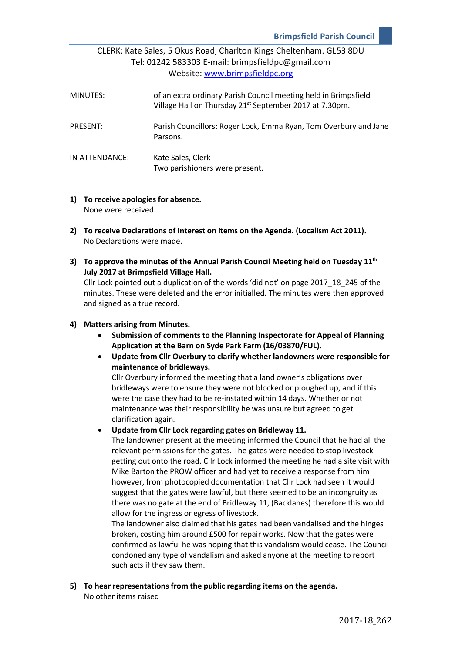# CLERK: Kate Sales, 5 Okus Road, Charlton Kings Cheltenham. GL53 8DU Tel: 01242 583303 E-mail: brimpsfieldpc@gmail.com Website: [www.brimpsfieldpc.org](http://www.brimpsfieldpc.org/)

| MINUTES:       | of an extra ordinary Parish Council meeting held in Brimpsfield<br>Village Hall on Thursday 21 <sup>st</sup> September 2017 at 7.30pm. |
|----------------|----------------------------------------------------------------------------------------------------------------------------------------|
| PRESENT:       | Parish Councillors: Roger Lock, Emma Ryan, Tom Overbury and Jane<br>Parsons.                                                           |
| IN ATTENDANCE: | Kate Sales, Clerk<br>Two parishioners were present.                                                                                    |

- **1) To receive apologies for absence.** None were received.
- **2) To receive Declarations of Interest on items on the Agenda. (Localism Act 2011).** No Declarations were made.
- **3) To approve the minutes of the Annual Parish Council Meeting held on Tuesday 11th July 2017 at Brimpsfield Village Hall.**

Cllr Lock pointed out a duplication of the words 'did not' on page 2017\_18\_245 of the minutes. These were deleted and the error initialled. The minutes were then approved and signed as a true record.

### **4) Matters arising from Minutes.**

- **Submission of comments to the Planning Inspectorate for Appeal of Planning Application at the Barn on Syde Park Farm (16/03870/FUL).**
- **Update from Cllr Overbury to clarify whether landowners were responsible for maintenance of bridleways.**

Cllr Overbury informed the meeting that a land owner's obligations over bridleways were to ensure they were not blocked or ploughed up, and if this were the case they had to be re-instated within 14 days. Whether or not maintenance was their responsibility he was unsure but agreed to get clarification again.

• **Update from Cllr Lock regarding gates on Bridleway 11.**

The landowner present at the meeting informed the Council that he had all the relevant permissions for the gates. The gates were needed to stop livestock getting out onto the road. Cllr Lock informed the meeting he had a site visit with Mike Barton the PROW officer and had yet to receive a response from him however, from photocopied documentation that Cllr Lock had seen it would suggest that the gates were lawful, but there seemed to be an incongruity as there was no gate at the end of Bridleway 11, (Backlanes) therefore this would allow for the ingress or egress of livestock.

The landowner also claimed that his gates had been vandalised and the hinges broken, costing him around £500 for repair works. Now that the gates were confirmed as lawful he was hoping that this vandalism would cease. The Council condoned any type of vandalism and asked anyone at the meeting to report such acts if they saw them.

**5) To hear representations from the public regarding items on the agenda.** No other items raised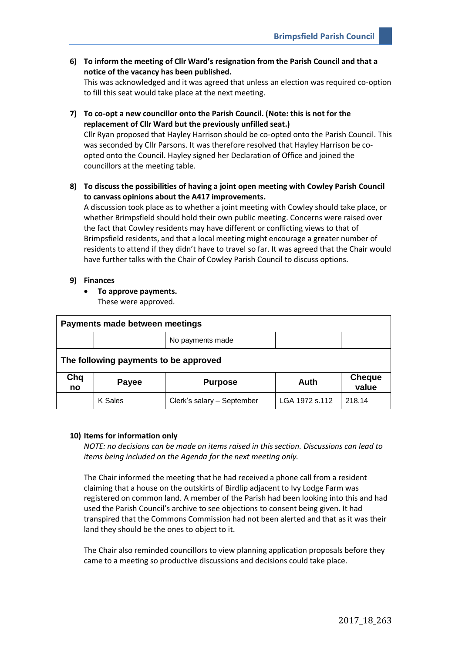**6) To inform the meeting of Cllr Ward's resignation from the Parish Council and that a notice of the vacancy has been published.**

This was acknowledged and it was agreed that unless an election was required co-option to fill this seat would take place at the next meeting.

**7) To co-opt a new councillor onto the Parish Council. (Note: this is not for the replacement of Cllr Ward but the previously unfilled seat.)**

Cllr Ryan proposed that Hayley Harrison should be co-opted onto the Parish Council. This was seconded by Cllr Parsons. It was therefore resolved that Hayley Harrison be coopted onto the Council. Hayley signed her Declaration of Office and joined the councillors at the meeting table.

**8) To discuss the possibilities of having a joint open meeting with Cowley Parish Council to canvass opinions about the A417 improvements.**

A discussion took place as to whether a joint meeting with Cowley should take place, or whether Brimpsfield should hold their own public meeting. Concerns were raised over the fact that Cowley residents may have different or conflicting views to that of Brimpsfield residents, and that a local meeting might encourage a greater number of residents to attend if they didn't have to travel so far. It was agreed that the Chair would have further talks with the Chair of Cowley Parish Council to discuss options.

#### **9) Finances**

• **To approve payments.** 

These were approved.

| Payments made between meetings        |              |                            |                |                        |  |
|---------------------------------------|--------------|----------------------------|----------------|------------------------|--|
|                                       |              | No payments made           |                |                        |  |
| The following payments to be approved |              |                            |                |                        |  |
| Chq<br>no                             | <b>Payee</b> | <b>Purpose</b>             | Auth           | <b>Cheque</b><br>value |  |
|                                       | K Sales      | Clerk's salary - September | LGA 1972 s.112 | 218.14                 |  |

#### **10) Items for information only**

*NOTE: no decisions can be made on items raised in this section. Discussions can lead to items being included on the Agenda for the next meeting only.*

The Chair informed the meeting that he had received a phone call from a resident claiming that a house on the outskirts of Birdlip adjacent to Ivy Lodge Farm was registered on common land. A member of the Parish had been looking into this and had used the Parish Council's archive to see objections to consent being given. It had transpired that the Commons Commission had not been alerted and that as it was their land they should be the ones to object to it.

The Chair also reminded councillors to view planning application proposals before they came to a meeting so productive discussions and decisions could take place.